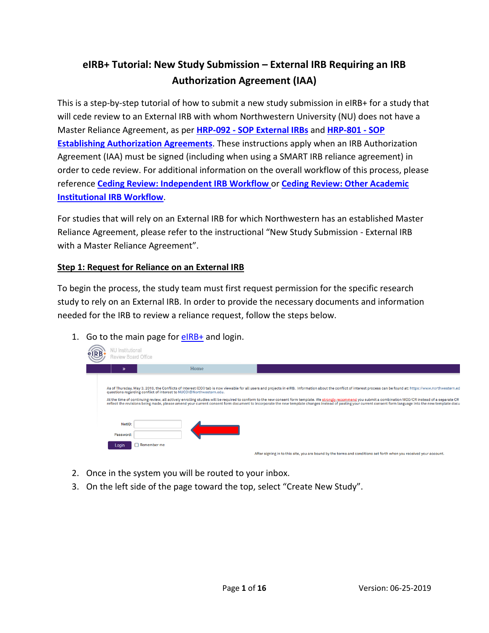# **eIRB+ Tutorial: New Study Submission – External IRB Requiring an IRB Authorization Agreement (IAA)**

This is a step-by-step tutorial of how to submit a new study submission in eIRB+ for a study that will cede review to an External IRB with whom Northwestern University (NU) does not have a Master Reliance Agreement, as per **HRP-092 - [SOP External IRBs](https://irb.northwestern.edu/sites/irb/files/documents/HRP-092%20-%20SOP%20-%20External%20IRBs_11222018.pdf)** and **[HRP-801 -](https://irb.northwestern.edu/sites/irb/files/documents/HRP-801%20-%20SOP%20-%20Establishing%20Authorization%20Agreements_11222018.pdf) SOP [Establishing Authorization Agreements](https://irb.northwestern.edu/sites/irb/files/documents/HRP-801%20-%20SOP%20-%20Establishing%20Authorization%20Agreements_11222018.pdf)**. These instructions apply when an IRB Authorization Agreement (IAA) must be signed (including when using a SMART IRB reliance agreement) in order to cede review. For additional information on the overall workflow of this process, please reference **[Ceding Review: Independent IRB Workflow](https://irb.northwestern.edu/sites/irb/files/documents/Visio-Independent%20IRB%20Workflow%20%2804-05-2017%29.pdf)** or **[Ceding Review: Other Academic](https://irb.northwestern.edu/sites/irb/files/documents/Visio-Non-Affiliated%20Higher%20Education%20IRB%20Workflow%20%2804-05-2017%29.pdf)  [Institutional IRB Workflow](https://irb.northwestern.edu/sites/irb/files/documents/Visio-Non-Affiliated%20Higher%20Education%20IRB%20Workflow%20%2804-05-2017%29.pdf)**.

For studies that will rely on an External IRB for which Northwestern has an established Master Reliance Agreement, please refer to the instructional "New Study Submission - External IRB with a Master Reliance Agreement".

## **Step 1: Request for Reliance on an External IRB**

To begin the process, the study team must first request permission for the specific research study to rely on an External IRB. In order to provide the necessary documents and information needed for the IRB to review a reliance request, follow the steps below.

1. Go to the main page for  $e$ IRB+ and login.

| VU Institutional<br>Review Board Office |                                                                     |                                                                                                                                                                                                                                                                                                                                                                                                                                                                                                                                                                                                                                                     |
|-----------------------------------------|---------------------------------------------------------------------|-----------------------------------------------------------------------------------------------------------------------------------------------------------------------------------------------------------------------------------------------------------------------------------------------------------------------------------------------------------------------------------------------------------------------------------------------------------------------------------------------------------------------------------------------------------------------------------------------------------------------------------------------------|
|                                         | Home                                                                |                                                                                                                                                                                                                                                                                                                                                                                                                                                                                                                                                                                                                                                     |
|                                         | questions regarding conflict of interest to NUCOI@Northwestern.edu. | As of Thursday, May 3, 2018, the Conflicts of Interest (COI) tab is now viewable for all users and projects in eIRB. Information about the conflict of interest process can be found at: https://www.northwestern.ed<br>At the time of continuing review, all actively enrolling studies will be required to conform to the new consent form template. We strongly recommend you submit a combination MOD/CR instead of a separate CR<br>reflect the revisions being made, please amend your current consent form document to incorporate the new template changes instead of pasting your current consent form language into the new template docu |
| NetID:<br>Password:                     |                                                                     |                                                                                                                                                                                                                                                                                                                                                                                                                                                                                                                                                                                                                                                     |
| Login                                   | $\bigcap$ Remember me                                               | After signing in to this site, you are bound by the terms and conditions set forth when you received your account.                                                                                                                                                                                                                                                                                                                                                                                                                                                                                                                                  |

- 2. Once in the system you will be routed to your inbox.
- 3. On the left side of the page toward the top, select "Create New Study".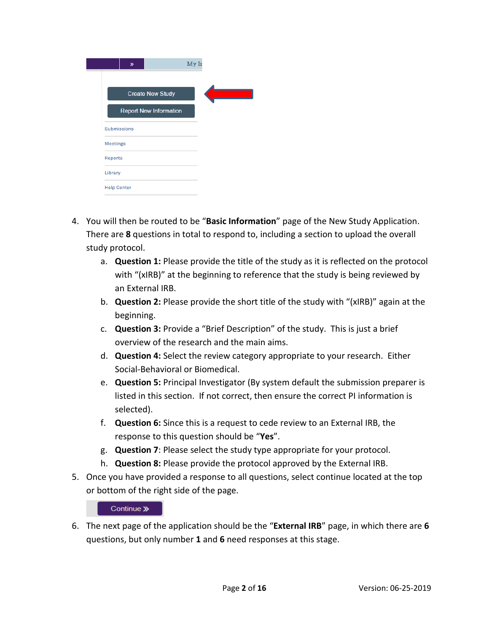| $\gg$                         | My Ir |
|-------------------------------|-------|
| <b>Create New Study</b>       |       |
| <b>Report New Information</b> |       |
| <b>Submissions</b>            |       |
| <b>Meetings</b>               |       |
| <b>Reports</b>                |       |
| Library                       |       |
| <b>Help Center</b>            |       |

- 4. You will then be routed to be "**Basic Information**" page of the New Study Application. There are **8** questions in total to respond to, including a section to upload the overall study protocol.
	- a. **Question 1:** Please provide the title of the study as it is reflected on the protocol with "(xIRB)" at the beginning to reference that the study is being reviewed by an External IRB.
	- b. **Question 2:** Please provide the short title of the study with "(xIRB)" again at the beginning.
	- c. **Question 3:** Provide a "Brief Description" of the study. This is just a brief overview of the research and the main aims.
	- d. **Question 4:** Select the review category appropriate to your research. Either Social-Behavioral or Biomedical.
	- e. **Question 5:** Principal Investigator (By system default the submission preparer is listed in this section. If not correct, then ensure the correct PI information is selected).
	- f. **Question 6:** Since this is a request to cede review to an External IRB, the response to this question should be "**Yes**".
	- g. **Question 7**: Please select the study type appropriate for your protocol.
	- h. **Question 8:** Please provide the protocol approved by the External IRB.
- 5. Once you have provided a response to all questions, select continue located at the top or bottom of the right side of the page.

#### Continue »

6. The next page of the application should be the "**External IRB**" page, in which there are **6** questions, but only number **1** and **6** need responses at this stage.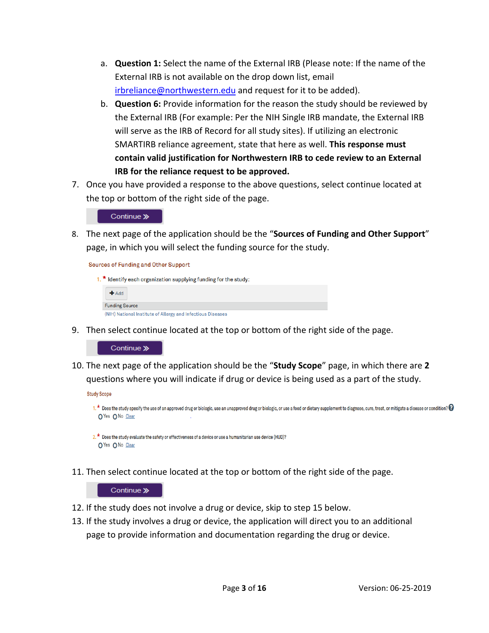- a. **Question 1:** Select the name of the External IRB (Please note: If the name of the External IRB is not available on the drop down list, email [irbreliance@northwestern.edu](mailto:irbreliance@northwestern.edu) and request for it to be added).
- b. **Question 6:** Provide information for the reason the study should be reviewed by the External IRB (For example: Per the NIH Single IRB mandate, the External IRB will serve as the IRB of Record for all study sites). If utilizing an electronic SMARTIRB reliance agreement, state that here as well. **This response must contain valid justification for Northwestern IRB to cede review to an External IRB for the reliance request to be approved.**
- 7. Once you have provided a response to the above questions, select continue located at the top or bottom of the right side of the page.

Continue »

8. The next page of the application should be the "**Sources of Funding and Other Support**" page, in which you will select the funding source for the study.

**Sources of Funding and Other Support** 

|  | 1. $*$ Identify each organization supplying funding for the study: |
|--|--------------------------------------------------------------------|
|  | Add                                                                |
|  | <b>Funding Source</b>                                              |
|  | (NIH) National Institute of Allergy and Infectious Diseases        |

9. Then select continue located at the top or bottom of the right side of the page.

Continue »

10. The next page of the application should be the "**Study Scope**" page, in which there are **2**  questions where you will indicate if drug or device is being used as a part of the study.

**Study Scope** 



 $2.$  \* Does the study evaluate the safety or effectiveness of a device or use a humanitarian use device (HUD)? OYes ONo Clear

11. Then select continue located at the top or bottom of the right side of the page.

- 12. If the study does not involve a drug or device, skip to step 15 below.
- 13. If the study involves a drug or device, the application will direct you to an additional page to provide information and documentation regarding the drug or device.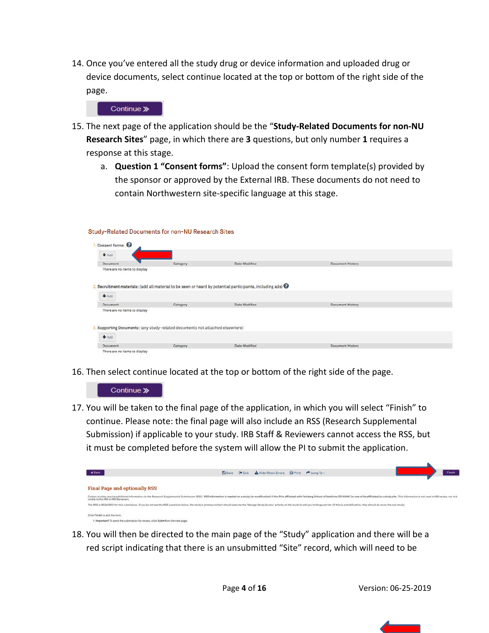14. Once you've entered all the study drug or device information and uploaded drug or device documents, select continue located at the top or bottom of the right side of the page.



Study-Related Documents for non-NU Research Sites

- 15. The next page of the application should be the "**Study-Related Documents for non-NU Research Sites**" page, in which there are **3** questions, but only number **1** requires a response at this stage.
	- a. **Question 1 "Consent forms"**: Upload the consent form template(s) provided by the sponsor or approved by the External IRB. These documents do not need to contain Northwestern site-specific language at this stage.

| Consent forms:                |                                                                            |                                                                                                                      |                         |  |
|-------------------------------|----------------------------------------------------------------------------|----------------------------------------------------------------------------------------------------------------------|-------------------------|--|
| $A$ Add                       |                                                                            |                                                                                                                      |                         |  |
| Document                      | Category                                                                   | Date Modified                                                                                                        | <b>Document History</b> |  |
| There are no items to display |                                                                            |                                                                                                                      |                         |  |
|                               |                                                                            |                                                                                                                      |                         |  |
|                               |                                                                            | 2. Recruitment materials: (add all material to be seen or heard by potential participants, including ads) $\bigcirc$ |                         |  |
|                               |                                                                            |                                                                                                                      |                         |  |
| $+A$ dd                       |                                                                            |                                                                                                                      |                         |  |
| Document                      | Category                                                                   | Date Modified                                                                                                        | <b>Document History</b> |  |
| There are no items to display |                                                                            |                                                                                                                      |                         |  |
|                               |                                                                            |                                                                                                                      |                         |  |
|                               |                                                                            |                                                                                                                      |                         |  |
|                               | Supporting Documents: (any study-related documents not attached elsewhere) |                                                                                                                      |                         |  |
| $A$ dd                        |                                                                            |                                                                                                                      |                         |  |
| Document                      | Category                                                                   | Date Modified                                                                                                        | <b>Document History</b> |  |
|                               |                                                                            |                                                                                                                      |                         |  |

16. Then select continue located at the top or bottom of the right side of the page.



17. You will be taken to the final page of the application, in which you will select "Finish" to continue. Please note: the final page will also include an RSS (Research Supplemental Submission) if applicable to your study. IRB Staff & Reviewers cannot access the RSS, but it must be completed before the system will allow the PI to submit the application.



18. You will then be directed to the main page of the "Study" application and there will be a red script indicating that there is an unsubmitted "Site" record, which will need to be

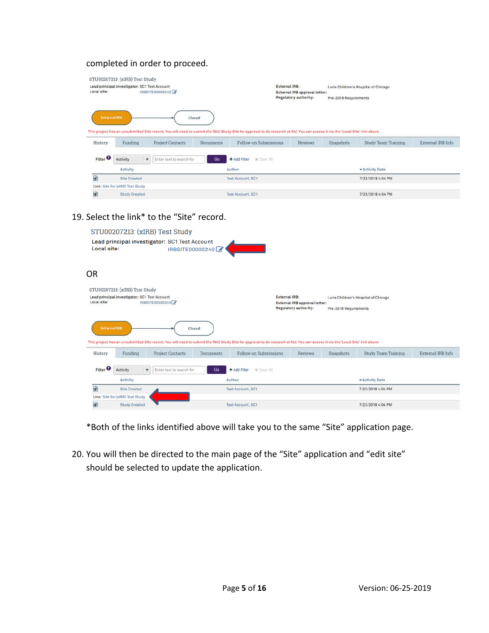## completed in order to proceed.

|                                | STU00207213: (xIRB) Test Study                |   |                          |                            |                                                                                                                                                                                                         |                              |                       |                                      |                   |
|--------------------------------|-----------------------------------------------|---|--------------------------|----------------------------|---------------------------------------------------------------------------------------------------------------------------------------------------------------------------------------------------------|------------------------------|-----------------------|--------------------------------------|-------------------|
|                                | Lead principal investigator: SC1 Test Account |   |                          |                            | External IRB:                                                                                                                                                                                           |                              |                       | Lurie Children's Hospital of Chicago |                   |
| Local site:                    | IRBSITE00000240                               |   |                          |                            | External IRB approval letter:                                                                                                                                                                           |                              |                       |                                      |                   |
|                                |                                               |   |                          |                            |                                                                                                                                                                                                         | <b>Regulatory authority:</b> | Pre-2018 Requirements |                                      |                   |
| <b>External IRB</b><br>History | Funding                                       |   |                          | Closed<br><b>Documents</b> | This project has an unsubmitted Site record. You will need to submit the (NU) Study Site for approval to do research at NU. You can access it via the 'Local Site' link above.<br>Follow-on Submissions | <b>Reviews</b>               |                       |                                      |                   |
|                                |                                               |   | <b>Project Contacts</b>  |                            |                                                                                                                                                                                                         |                              | Snapshots             | <b>Study Team Training</b>           | External IRB Info |
| Filter <sup>O</sup>            | Activity                                      | ٠ | Enter text to search for | Go                         | * Clear All:<br>+ Add Filter                                                                                                                                                                            |                              |                       |                                      |                   |
|                                | Activity                                      |   |                          |                            | Author                                                                                                                                                                                                  |                              |                       | * Activity Date                      |                   |
| 翩                              | <b>Site Created</b>                           |   |                          |                            | <b>Test Account, SC1</b>                                                                                                                                                                                |                              |                       | 7/23/2018 4:04 PM                    |                   |
|                                | Link: Site for (xIRB) Test Study              |   |                          |                            |                                                                                                                                                                                                         |                              |                       |                                      |                   |

## 19. Select the link\* to the "Site" record.

|                     |                                                                                 | STU00207213: (xIRB) Test Study                |                  |                                                                                                                                                                                |                                                               |                       |                                      |                   |
|---------------------|---------------------------------------------------------------------------------|-----------------------------------------------|------------------|--------------------------------------------------------------------------------------------------------------------------------------------------------------------------------|---------------------------------------------------------------|-----------------------|--------------------------------------|-------------------|
| Local site:         |                                                                                 | Lead principal investigator: SC1 Test Account | IRBSITE00000240  |                                                                                                                                                                                |                                                               |                       |                                      |                   |
| OR                  |                                                                                 |                                               |                  |                                                                                                                                                                                |                                                               |                       |                                      |                   |
| Local site:         | STU00207213: (xIRB) Test Study<br>Lead principal investigator: SC1 Test Account | IRBSITE00000240                               |                  | External IRB:                                                                                                                                                                  | External IRB approval letter:<br><b>Regulatory authority:</b> | Pre-2018 Requirements | Lurie Children's Hospital of Chicago |                   |
| <b>External IRB</b> |                                                                                 | Closed                                        |                  | This project has an unsubmitted Site record. You will need to submit the (NU) Study Site for approval to do research at NU. You can access it via the 'Local Site' link above. |                                                               |                       |                                      |                   |
| History             | Funding                                                                         | <b>Project Contacts</b>                       | <b>Documents</b> | Follow-on Submissions                                                                                                                                                          | Reviews                                                       | Snapshots             | <b>Study Team Training</b>           | External IRB Info |
| Filter <sup>2</sup> | Activity<br>$\cdot$<br>Activity                                                 | Enter text to search for                      | Go               | + Add Filter<br><b>x</b> Clear All<br>Author                                                                                                                                   |                                                               |                       | - Activity Date                      |                   |
| ₽                   | <b>Site Created</b>                                                             |                                               |                  | Test Account, SC1                                                                                                                                                              |                                                               |                       | 7/23/2018 4:04 PM                    |                   |
|                     | Link: Site for (xIRB) Test Study                                                |                                               |                  |                                                                                                                                                                                |                                                               |                       |                                      |                   |
| 國                   | <b>Study Created</b>                                                            |                                               |                  | Test Account, SC1                                                                                                                                                              |                                                               |                       | 7/23/2018 4:04 PM                    |                   |

\*Both of the links identified above will take you to the same "Site" application page.

20. You will then be directed to the main page of the "Site" application and "edit site" should be selected to update the application.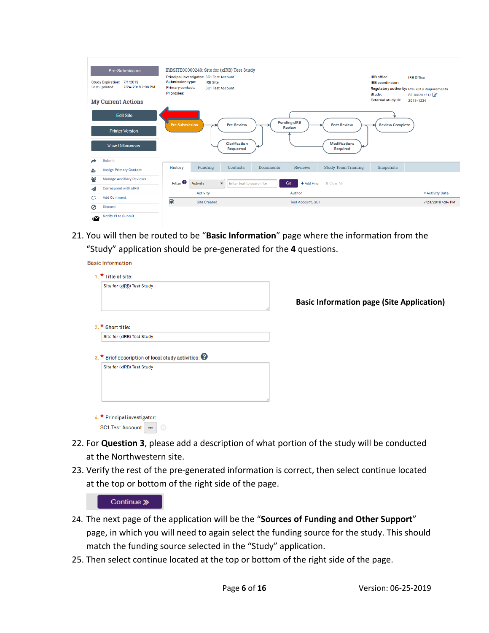| Pre-Submission<br>Study Expiration: 7/1/2019<br>Last updated:<br>7/24/2018 2:08 PM<br><b>My Current Actions</b> | IRBSITE00000240: Site for (xIRB) Test Study<br>Principal investigator: SC1 Test Account<br><b>Submission type:</b><br><b>IRB</b> Site<br><b>Primary contact:</b><br><b>SC1 Test Account</b><br>PI proxies: | IRB office:<br><b>IRB</b> coordinator:<br>Study:<br><b>External study ID:</b> | <b>IRB</b> Office<br>Regulatory authority: Pre-2018 Requirements<br>STU00207213<br>2018-1234 |
|-----------------------------------------------------------------------------------------------------------------|------------------------------------------------------------------------------------------------------------------------------------------------------------------------------------------------------------|-------------------------------------------------------------------------------|----------------------------------------------------------------------------------------------|
| <b>Edit Site</b>                                                                                                | <b>Pending sIRB</b>                                                                                                                                                                                        |                                                                               |                                                                                              |
| <b>Printer Version</b>                                                                                          | <b>Pre-Submission</b><br><b>Pre-Review</b><br><b>Post-Review</b><br><b>Review</b>                                                                                                                          | <b>Review Complete</b>                                                        |                                                                                              |
| <b>View Differences</b>                                                                                         | Clarification<br><b>Modifications</b><br><b>Requested</b><br>Required                                                                                                                                      |                                                                               |                                                                                              |
| Submit                                                                                                          |                                                                                                                                                                                                            |                                                                               |                                                                                              |
| <b>Assign Primary Contact</b><br>4                                                                              | <b>History</b><br>Funding<br><b>Reviews</b><br><b>Study Team Training</b><br>Contacts<br><b>Documents</b>                                                                                                  | Snapshots                                                                     |                                                                                              |
| ಕಿಸಿ<br><b>Manage Ancillary Reviews</b>                                                                         | Filter <sup>2</sup><br>Go<br>+ Add Filter<br><b>Activity</b><br>x Clear All<br>Enter text to search for<br>$\overline{\mathbf{v}}$                                                                         |                                                                               |                                                                                              |
| Correspond with sIRB<br>◢                                                                                       |                                                                                                                                                                                                            |                                                                               |                                                                                              |
| <b>Add Comment</b><br>O                                                                                         | <b>Activity</b><br>Author                                                                                                                                                                                  |                                                                               | * Activity Date                                                                              |
| <b>Discard</b><br>Ø                                                                                             | 國<br><b>Site Created</b><br><b>Test Account, SC1</b>                                                                                                                                                       |                                                                               | 7/23/2018 4:04 PM                                                                            |
| Notify PI to Submit<br>$\sim$                                                                                   |                                                                                                                                                                                                            |                                                                               |                                                                                              |

21. You will then be routed to be "**Basic Information**" page where the information from the "Study" application should be pre-generated for the **4** questions.

**Basic Information** 

| 1. * Title of site:                                                               |                                                  |
|-----------------------------------------------------------------------------------|--------------------------------------------------|
| Site for (xIRB) Test Study                                                        |                                                  |
|                                                                                   | <b>Basic Information page (Site Application)</b> |
|                                                                                   |                                                  |
| 2. * Short title:                                                                 |                                                  |
|                                                                                   |                                                  |
| Site for (xIRB) Test Study<br>3. * Brief description of local study activities: @ |                                                  |
|                                                                                   |                                                  |
| Site for (xIRB) Test Study                                                        |                                                  |
|                                                                                   |                                                  |

- 22. For **Question 3**, please add a description of what portion of the study will be conducted at the Northwestern site.
- 23. Verify the rest of the pre-generated information is correct, then select continue located at the top or bottom of the right side of the page.



- 24. The next page of the application will be the "**Sources of Funding and Other Support**" page, in which you will need to again select the funding source for the study. This should match the funding source selected in the "Study" application.
- 25. Then select continue located at the top or bottom of the right side of the page.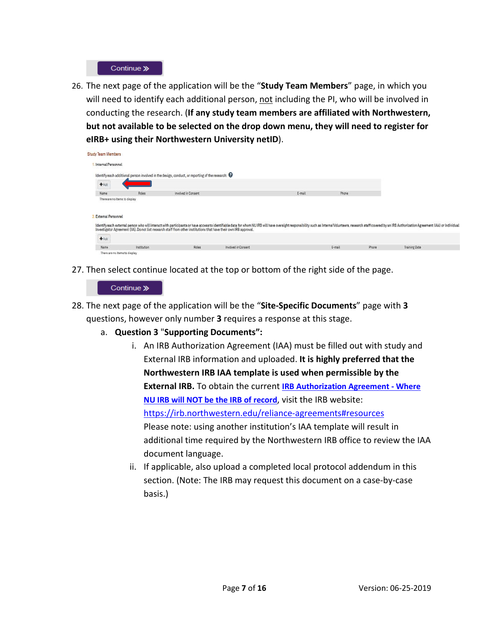

26. The next page of the application will be the "**Study Team Members**" page, in which you will need to identify each additional person, not including the PI, who will be involved in conducting the research. (**If any study team members are affiliated with Northwestern, but not available to be selected on the drop down menu, they will need to register for eIRB+ using their Northwestern University netID**).

| <b>Study Team Members</b>     |              |                                                                                                                    |                     |        |        |       |                                                                                                                                                                                                                                |
|-------------------------------|--------------|--------------------------------------------------------------------------------------------------------------------|---------------------|--------|--------|-------|--------------------------------------------------------------------------------------------------------------------------------------------------------------------------------------------------------------------------------|
| Internal Personnel            |              |                                                                                                                    |                     |        |        |       |                                                                                                                                                                                                                                |
|                               |              | Identify each additional person involved in the design, conduct, or reporting of the research: $\Theta$            |                     |        |        |       |                                                                                                                                                                                                                                |
| $+Add$                        |              |                                                                                                                    |                     |        |        |       |                                                                                                                                                                                                                                |
| Name                          | <b>Roles</b> | Involved in Consent                                                                                                |                     | E-mail | Phone  |       |                                                                                                                                                                                                                                |
| There are no items to display |              |                                                                                                                    |                     |        |        |       |                                                                                                                                                                                                                                |
| <b>External Personnel</b>     |              |                                                                                                                    |                     |        |        |       |                                                                                                                                                                                                                                |
|                               |              | Investigator Agreement (IIA). Do not list research staff from other institutions that have their own IRB approval. |                     |        |        |       | Identify each external person who will interact with participants or have access to identifiable data for whom NU IRB will have oversight responsibility such as Interns/Volunteers, research staff covered by an IRB Authoriz |
| $+$ Add                       |              |                                                                                                                    |                     |        |        |       |                                                                                                                                                                                                                                |
| Name                          | Institution  | Roles:                                                                                                             | Involved in Consent |        | E-mail | Phone | <b>Training Date</b>                                                                                                                                                                                                           |
| There are no items to display |              |                                                                                                                    |                     |        |        |       |                                                                                                                                                                                                                                |

27. Then select continue located at the top or bottom of the right side of the page.

| Continue >> |  |
|-------------|--|
|-------------|--|

- 28. The next page of the application will be the "**Site-Specific Documents**" page with **3** questions, however only number **3** requires a response at this stage.
	- a. **Question 3** "**Supporting Documents":**
		- i. An IRB Authorization Agreement (IAA) must be filled out with study and External IRB information and uploaded. **It is highly preferred that the Northwestern IRB IAA template is used when permissible by the External IRB.** To obtain the current **[IRB Authorization Agreement -](https://irb.northwestern.edu/sites/irb/files/documents/HRP-1807%20-%20TEMPLATE%20-%20Authorization%20Agreement%20%28NU%20IRB_NOT%20IRB%20of%20Record%29_11222018.doc) Where [NU IRB will NOT be the IRB of record](https://irb.northwestern.edu/sites/irb/files/documents/HRP-1807%20-%20TEMPLATE%20-%20Authorization%20Agreement%20%28NU%20IRB_NOT%20IRB%20of%20Record%29_11222018.doc)**, visit the IRB website: <https://irb.northwestern.edu/reliance-agreements#resources> Please note: using another institution's IAA template will result in additional time required by the Northwestern IRB office to review the IAA document language.
		- ii. If applicable, also upload a completed local protocol addendum in this section. (Note: The IRB may request this document on a case-by-case basis.)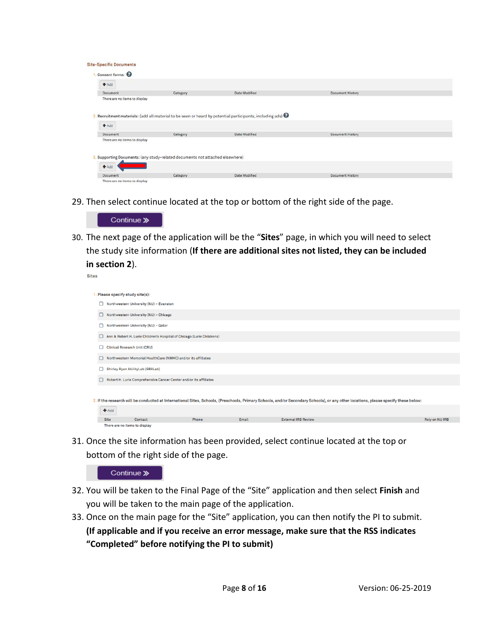| <b>Site-Specific Documents</b> |                                                                               |                                                                                                           |                         |  |
|--------------------------------|-------------------------------------------------------------------------------|-----------------------------------------------------------------------------------------------------------|-------------------------|--|
|                                |                                                                               |                                                                                                           |                         |  |
| Consent forms:                 |                                                                               |                                                                                                           |                         |  |
| $+Add$                         |                                                                               |                                                                                                           |                         |  |
| Document                       | Category                                                                      | Date Modified                                                                                             | <b>Document History</b> |  |
| There are no items to display  |                                                                               |                                                                                                           |                         |  |
|                                |                                                                               |                                                                                                           |                         |  |
|                                |                                                                               | 2. Recruitment materials: (add all material to be seen or heard by potential participants, including ads) |                         |  |
|                                |                                                                               |                                                                                                           |                         |  |
| $+Add$                         |                                                                               |                                                                                                           |                         |  |
| Document                       | Category                                                                      | Date Modified                                                                                             | <b>Document History</b> |  |
| There are no items to display  |                                                                               |                                                                                                           |                         |  |
|                                |                                                                               |                                                                                                           |                         |  |
|                                |                                                                               |                                                                                                           |                         |  |
|                                | 3. Supporting Documents: (any study-related documents not attached elsewhere) |                                                                                                           |                         |  |
| Add                            |                                                                               |                                                                                                           |                         |  |
| Document                       | Category                                                                      | Date Modified                                                                                             | Document History        |  |
| There are no items to display  |                                                                               |                                                                                                           |                         |  |

29. Then select continue located at the top or bottom of the right side of the page.



30. The next page of the application will be the "**Sites**" page, in which you will need to select the study site information (**If there are additional sites not listed, they can be included in section 2**).

Sites

|                                                                        | Please specify study site(s):                                          |  |       |                                                                                                                                                                                    |                |  |  |  |
|------------------------------------------------------------------------|------------------------------------------------------------------------|--|-------|------------------------------------------------------------------------------------------------------------------------------------------------------------------------------------|----------------|--|--|--|
| ⊔                                                                      | Northwestern University (NU) - Evanston                                |  |       |                                                                                                                                                                                    |                |  |  |  |
| $\Box$                                                                 | Northwestern University (NU) - Chicago                                 |  |       |                                                                                                                                                                                    |                |  |  |  |
| Π                                                                      | Northwestern University (NU) - Qatar                                   |  |       |                                                                                                                                                                                    |                |  |  |  |
| ◡                                                                      | Ann & Robert H. Lurie Children's Hospital of Chicago (Lurie Childrens) |  |       |                                                                                                                                                                                    |                |  |  |  |
|                                                                        | <b>Clinical Research Unit (CRU)</b>                                    |  |       |                                                                                                                                                                                    |                |  |  |  |
| П                                                                      | Northwestern Memorial HealthCare (NMHC) and/or its affiliates          |  |       |                                                                                                                                                                                    |                |  |  |  |
| □                                                                      | Shirley Ryan AbilityLab (SRALab)                                       |  |       |                                                                                                                                                                                    |                |  |  |  |
| Robert H. Lurie Comprehensive Cancer Center and/or its affiliates<br>ш |                                                                        |  |       |                                                                                                                                                                                    |                |  |  |  |
|                                                                        |                                                                        |  |       |                                                                                                                                                                                    |                |  |  |  |
|                                                                        |                                                                        |  |       | 2. If the research will be conducted at International Sites, Schools, (Preschools, Primary Schools, and/or Secondary Schools), or any other locations, please specify these below: |                |  |  |  |
|                                                                        | Add                                                                    |  |       |                                                                                                                                                                                    |                |  |  |  |
|                                                                        | <b>Site</b><br>Contact<br>Phone                                        |  | Email | <b>External IRB Review</b>                                                                                                                                                         | Rely on NU IRB |  |  |  |
|                                                                        | There are no items to display                                          |  |       |                                                                                                                                                                                    |                |  |  |  |

31. Once the site information has been provided, select continue located at the top or bottom of the right side of the page.



- 32. You will be taken to the Final Page of the "Site" application and then select **Finish** and you will be taken to the main page of the application.
- 33. Once on the main page for the "Site" application, you can then notify the PI to submit. **(If applicable and if you receive an error message, make sure that the RSS indicates "Completed" before notifying the PI to submit)**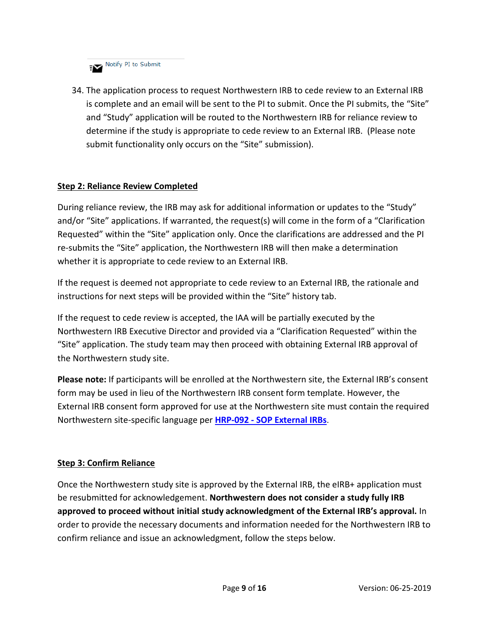**Figure 15 Notify PI to Submit** 

34. The application process to request Northwestern IRB to cede review to an External IRB is complete and an email will be sent to the PI to submit. Once the PI submits, the "Site" and "Study" application will be routed to the Northwestern IRB for reliance review to determine if the study is appropriate to cede review to an External IRB. (Please note submit functionality only occurs on the "Site" submission).

## **Step 2: Reliance Review Completed**

During reliance review, the IRB may ask for additional information or updates to the "Study" and/or "Site" applications. If warranted, the request(s) will come in the form of a "Clarification Requested" within the "Site" application only. Once the clarifications are addressed and the PI re-submits the "Site" application, the Northwestern IRB will then make a determination whether it is appropriate to cede review to an External IRB.

If the request is deemed not appropriate to cede review to an External IRB, the rationale and instructions for next steps will be provided within the "Site" history tab.

If the request to cede review is accepted, the IAA will be partially executed by the Northwestern IRB Executive Director and provided via a "Clarification Requested" within the "Site" application. The study team may then proceed with obtaining External IRB approval of the Northwestern study site.

**Please note:** If participants will be enrolled at the Northwestern site, the External IRB's consent form may be used in lieu of the Northwestern IRB consent form template. However, the External IRB consent form approved for use at the Northwestern site must contain the required Northwestern site-specific language per **HRP-092 - [SOP External IRBs](https://irb.northwestern.edu/sites/irb/files/documents/HRP-092%20-%20SOP%20-%20External%20IRBs_11222018.pdf)**.

## **Step 3: Confirm Reliance**

Once the Northwestern study site is approved by the External IRB, the eIRB+ application must be resubmitted for acknowledgement. **Northwestern does not consider a study fully IRB approved to proceed without initial study acknowledgment of the External IRB's approval.** In order to provide the necessary documents and information needed for the Northwestern IRB to confirm reliance and issue an acknowledgment, follow the steps below.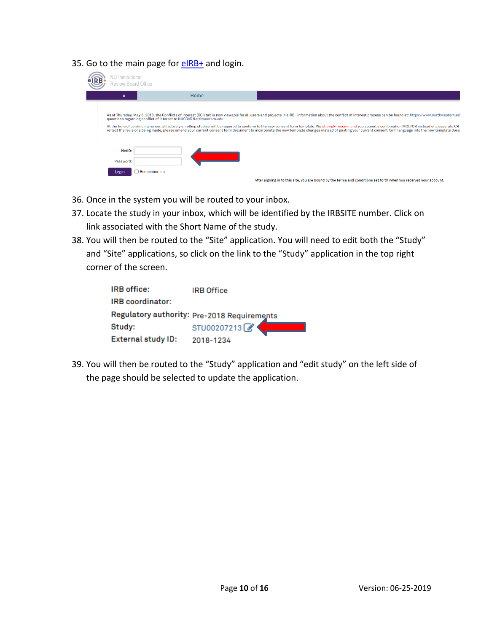35. Go to the main page for [eIRB+](https://eirbplus.northwestern.edu/IRB/sd/Rooms/DisplayPages/LayoutInitial?Container=com.webridge.entity.Entity%5bOID%5b5C3E6DF4AA49DF408616C9B82E714D46%5d%5d) and login.

| <b>VU</b> Institutional<br>Review Board Office |                                                                     |                                                                                                                                                                                                                                                                                                                                                                                                                                                                                                                                                                                                                                                     |
|------------------------------------------------|---------------------------------------------------------------------|-----------------------------------------------------------------------------------------------------------------------------------------------------------------------------------------------------------------------------------------------------------------------------------------------------------------------------------------------------------------------------------------------------------------------------------------------------------------------------------------------------------------------------------------------------------------------------------------------------------------------------------------------------|
| $\mathbf{v}$                                   | Home                                                                |                                                                                                                                                                                                                                                                                                                                                                                                                                                                                                                                                                                                                                                     |
|                                                | questions regarding conflict of interest to NUCOI@Northwestern.edu. | As of Thursday, May 3, 2018, the Conflicts of Interest (COI) tab is now viewable for all users and projects in eIRB. Information about the conflict of interest process can be found at: https://www.northwestern.ed<br>At the time of continuing review, all actively enrolling studies will be required to conform to the new consent form template. We strongly recommend you submit a combination MOD/CR instead of a separate CR<br>reflect the revisions being made, please amend your current consent form document to incorporate the new template changes instead of pasting your current consent form language into the new template docu |
| NetID:<br>Password:                            |                                                                     |                                                                                                                                                                                                                                                                                                                                                                                                                                                                                                                                                                                                                                                     |
| Login                                          | Remember me                                                         | After signing in to this site, you are bound by the terms and conditions set forth when you received your account.                                                                                                                                                                                                                                                                                                                                                                                                                                                                                                                                  |

- 36. Once in the system you will be routed to your inbox.
- 37. Locate the study in your inbox, which will be identified by the IRBSITE number. Click on link associated with the Short Name of the study.
- 38. You will then be routed to the "Site" application. You will need to edit both the "Study" and "Site" applications, so click on the link to the "Study" application in the top right corner of the screen.

| IRB office:               | <b>IRB Office</b>                           |
|---------------------------|---------------------------------------------|
| IRB coordinator:          |                                             |
|                           | Regulatory authority: Pre-2018 Requirements |
| Study:                    | STU00207213                                 |
| <b>External study ID:</b> | 2018-1234                                   |

39. You will then be routed to the "Study" application and "edit study" on the left side of the page should be selected to update the application.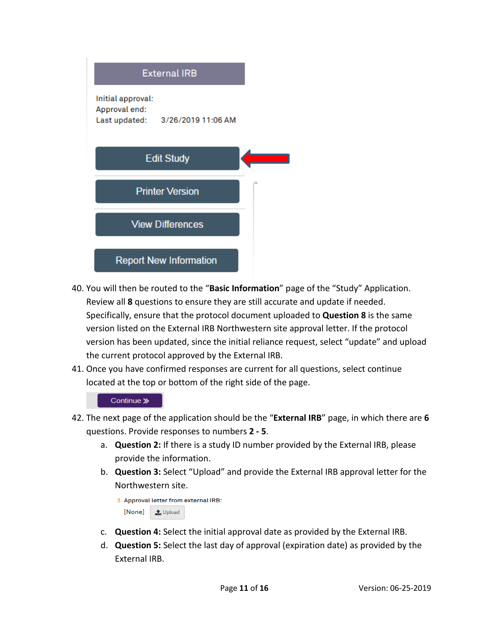

- 40. You will then be routed to the "**Basic Information**" page of the "Study" Application. Review all **8** questions to ensure they are still accurate and update if needed. Specifically, ensure that the protocol document uploaded to **Question 8** is the same version listed on the External IRB Northwestern site approval letter. If the protocol version has been updated, since the initial reliance request, select "update" and upload the current protocol approved by the External IRB.
- 41. Once you have confirmed responses are current for all questions, select continue located at the top or bottom of the right side of the page.

- 42. The next page of the application should be the "**External IRB**" page, in which there are **6** questions. Provide responses to numbers **2 - 5**.
	- a. **Question 2:** If there is a study ID number provided by the External IRB, please provide the information.
	- b. **Question 3:** Select "Upload" and provide the External IRB approval letter for the Northwestern site.

```
3. Approval letter from external IRB:
[None]
          t Upload
```
- c. **Question 4:** Select the initial approval date as provided by the External IRB.
- d. **Question 5:** Select the last day of approval (expiration date) as provided by the External IRB.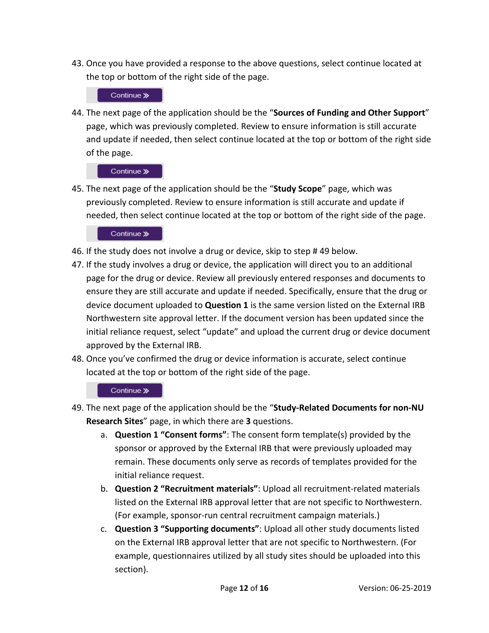43. Once you have provided a response to the above questions, select continue located at the top or bottom of the right side of the page.

## Continue »

44. The next page of the application should be the "**Sources of Funding and Other Support**" page, which was previously completed. Review to ensure information is still accurate and update if needed, then select continue located at the top or bottom of the right side of the page.

#### Continue »

45. The next page of the application should be the "**Study Scope**" page, which was previously completed. Review to ensure information is still accurate and update if needed, then select continue located at the top or bottom of the right side of the page.

## Continue »

- 46. If the study does not involve a drug or device, skip to step # 49 below.
- 47. If the study involves a drug or device, the application will direct you to an additional page for the drug or device. Review all previously entered responses and documents to ensure they are still accurate and update if needed. Specifically, ensure that the drug or device document uploaded to **Question 1** is the same version listed on the External IRB Northwestern site approval letter. If the document version has been updated since the initial reliance request, select "update" and upload the current drug or device document approved by the External IRB.
- 48. Once you've confirmed the drug or device information is accurate, select continue located at the top or bottom of the right side of the page.

- 49. The next page of the application should be the "**Study-Related Documents for non-NU Research Sites**" page, in which there are **3** questions.
	- a. **Question 1 "Consent forms"**: The consent form template(s) provided by the sponsor or approved by the External IRB that were previously uploaded may remain. These documents only serve as records of templates provided for the initial reliance request.
	- b. **Question 2 "Recruitment materials"**: Upload all recruitment-related materials listed on the External IRB approval letter that are not specific to Northwestern. (For example, sponsor-run central recruitment campaign materials.)
	- c. **Question 3 "Supporting documents"**: Upload all other study documents listed on the External IRB approval letter that are not specific to Northwestern. (For example, questionnaires utilized by all study sites should be uploaded into this section).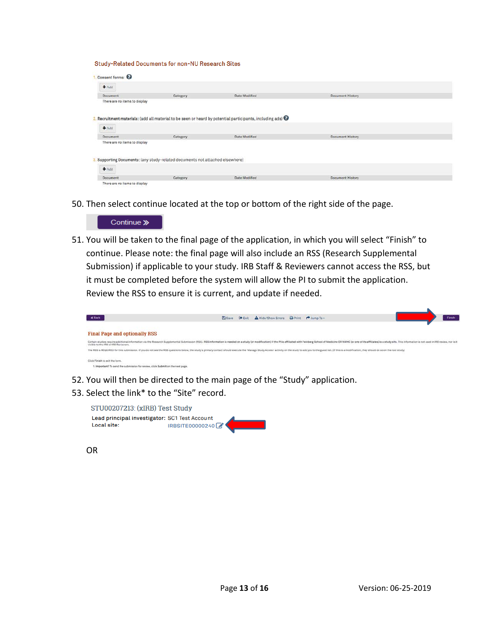Study-Related Documents for non-NU Research Sites

| Consent forms:                                             |                                                                               |                                                                                                                      |                         |  |
|------------------------------------------------------------|-------------------------------------------------------------------------------|----------------------------------------------------------------------------------------------------------------------|-------------------------|--|
| $A$ Add                                                    |                                                                               |                                                                                                                      |                         |  |
| Document                                                   | Category                                                                      | Date Modified                                                                                                        | <b>Document History</b> |  |
| There are no items to display                              |                                                                               |                                                                                                                      |                         |  |
|                                                            |                                                                               | 2. Recruitment materials: (add all material to be seen or heard by potential participants, including ads) $\bigcirc$ |                         |  |
|                                                            |                                                                               |                                                                                                                      |                         |  |
|                                                            |                                                                               |                                                                                                                      |                         |  |
|                                                            | Category                                                                      | Date Modified                                                                                                        | <b>Document History</b> |  |
|                                                            |                                                                               |                                                                                                                      |                         |  |
| $+Add$<br><b>Document</b><br>There are no items to display | 3. Supporting Documents: (any study-related documents not attached elsewhere) |                                                                                                                      |                         |  |
| $A$ Add                                                    |                                                                               |                                                                                                                      |                         |  |

50. Then select continue located at the top or bottom of the right side of the page.

#### Continue »

51. You will be taken to the final page of the application, in which you will select "Finish" to continue. Please note: the final page will also include an RSS (Research Supplemental Submission) if applicable to your study. IRB Staff & Reviewers cannot access the RSS, but it must be completed before the system will allow the PI to submit the application. Review the RSS to ensure it is current, and update if needed.

| <b>« Back</b>                                                                                                                                                                                                                                                          | <b>El</b> Save | E Exit | A Hide/Show Errors | Print + Jump To - | <b>Finish</b> |
|------------------------------------------------------------------------------------------------------------------------------------------------------------------------------------------------------------------------------------------------------------------------|----------------|--------|--------------------|-------------------|---------------|
|                                                                                                                                                                                                                                                                        |                |        |                    |                   |               |
| <b>Final Page and optionally RSS</b>                                                                                                                                                                                                                                   |                |        |                    |                   |               |
| Certain studies require additional information via the Research Supplemental Submission (RSS). RSS information is needed on a study (or modification) if the PI is affiliated with Feinberg School of Medicine OR NMHC (or one<br>visible to the IRB or IRB Reviewers. |                |        |                    |                   |               |
| The RSS is REQUIRED for this submission. If you do not see the RSS questions below, the study's primary contact should execute the 'Manage Study's orchies' activity on the study's oadd you to the guest list. If this is a m                                         |                |        |                    |                   |               |
| Click Finish to exit the form.                                                                                                                                                                                                                                         |                |        |                    |                   |               |
| 1. Important! To send the submission for review, click Submit on the next page.                                                                                                                                                                                        |                |        |                    |                   |               |

- 52. You will then be directed to the main page of the "Study" application.
- 53. Select the link\* to the "Site" record.

STU00207213: (xIRB) Test Study Lead principal investigator: SC1 Test Account Local site: IRBSITE00000240

OR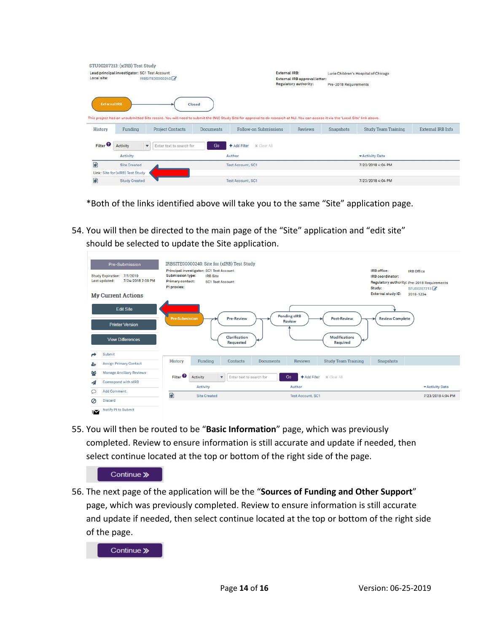|                     | STU00207213: (xIRB) Test Study                |                               |                  |                                                                                                                                                                                |                               |                       |                                      |                   |  |
|---------------------|-----------------------------------------------|-------------------------------|------------------|--------------------------------------------------------------------------------------------------------------------------------------------------------------------------------|-------------------------------|-----------------------|--------------------------------------|-------------------|--|
| Local site:         | Lead principal investigator: SC1 Test Account | IRBSITE00000240               |                  | External IRB:                                                                                                                                                                  | External IRB approval letter: |                       | Lurie Children's Hospital of Chicago |                   |  |
|                     |                                               |                               |                  |                                                                                                                                                                                | <b>Regulatory authority:</b>  | Pre-2018 Requirements |                                      |                   |  |
|                     |                                               |                               |                  |                                                                                                                                                                                |                               |                       |                                      |                   |  |
| <b>External IRB</b> |                                               |                               | Closed           |                                                                                                                                                                                |                               |                       |                                      |                   |  |
|                     |                                               |                               |                  | This project has an unsubmitted Site record. You will need to submit the (NU) Study Site for approval to do research at NU. You can access it via the 'Local Site' link above. |                               |                       |                                      |                   |  |
|                     |                                               |                               |                  |                                                                                                                                                                                |                               |                       |                                      |                   |  |
| History             | Funding                                       | <b>Project Contacts</b>       | <b>Documents</b> | Follow-on Submissions                                                                                                                                                          | Reviews                       | Snapshots             | <b>Study Team Training</b>           | External IRB Info |  |
| Filter <sup>O</sup> | Activity                                      | Enter text to search for<br>٠ | Go               | <b>x</b> Clear All:<br>+ Add Filter                                                                                                                                            |                               |                       |                                      |                   |  |
|                     | Activity                                      |                               |                  | Author                                                                                                                                                                         |                               |                       | - Activity Date                      |                   |  |
| ₽                   | <b>Site Created</b>                           |                               |                  | <b>Test Account, SC1</b>                                                                                                                                                       |                               |                       | 7/23/2018 4:04 PM                    |                   |  |
|                     | Link: Site for (xIRB) Test Study              |                               |                  |                                                                                                                                                                                |                               |                       |                                      |                   |  |

\*Both of the links identified above will take you to the same "Site" application page.

54. You will then be directed to the main page of the "Site" application and "edit site" should be selected to update the Site application.

| <b>Pre-Submission</b><br>Study Expiration: 7/1/2019<br>7/24/2018 2:08 PM<br>Last updated: | IRBSITE00000240: Site for (xIRB) Test Study<br>Principal investigator: SC1 Test Account<br><b>Submission type:</b><br><b>IRB Site</b><br><b>Primary contact:</b><br><b>SC1 Test Account</b><br>PI proxies: |                                                                             | IRB office:<br><b>IRB</b> Office<br><b>IRB</b> coordinator:<br>Regulatory authority: Pre-2018 Requirements<br>Study:<br>STU00207213 |
|-------------------------------------------------------------------------------------------|------------------------------------------------------------------------------------------------------------------------------------------------------------------------------------------------------------|-----------------------------------------------------------------------------|-------------------------------------------------------------------------------------------------------------------------------------|
| <b>My Current Actions</b>                                                                 |                                                                                                                                                                                                            |                                                                             | <b>External study ID:</b><br>2018-1234                                                                                              |
| <b>Edit Site</b><br><b>Printer Version</b><br><b>View Differences</b>                     | <b>Pre-Submission</b><br><b>Pre-Review</b><br>Clarification                                                                                                                                                | <b>Pending sIRB</b><br><b>Post-Review</b><br><b>Review</b><br>Modifications | <b>Review Complete</b>                                                                                                              |
|                                                                                           | Requested                                                                                                                                                                                                  | Required                                                                    |                                                                                                                                     |
| <b>Submit</b><br>▰                                                                        |                                                                                                                                                                                                            |                                                                             |                                                                                                                                     |
| <b>Assign Primary Contact</b><br>스                                                        | <b>History</b><br>Funding<br><b>Documents</b><br><b>Contacts</b>                                                                                                                                           | <b>Reviews</b><br><b>Study Team Training</b>                                | Snapshots                                                                                                                           |
| 웩<br><b>Manage Ancillary Reviews</b>                                                      | Filter <sup>2</sup><br>Activity<br>Enter text to search for<br>$\overline{\mathbf{v}}$                                                                                                                     | Go<br>+ Add Filter<br><b>x</b> Clear All                                    |                                                                                                                                     |
| Correspond with sIRB<br>◢                                                                 | <b>Activity</b>                                                                                                                                                                                            | Author                                                                      | * Activity Date                                                                                                                     |
| <b>Add Comment</b><br>₽                                                                   | 國<br><b>Site Created</b>                                                                                                                                                                                   |                                                                             | 7/23/2018 4:04 PM                                                                                                                   |
| <b>Discard</b><br>Ø                                                                       |                                                                                                                                                                                                            | <b>Test Account, SC1</b>                                                    |                                                                                                                                     |
| Notify PI to Submit<br>$\sim$                                                             |                                                                                                                                                                                                            |                                                                             |                                                                                                                                     |

55. You will then be routed to be "**Basic Information**" page, which was previously completed. Review to ensure information is still accurate and update if needed, then select continue located at the top or bottom of the right side of the page.



56. The next page of the application will be the "**Sources of Funding and Other Support**" page, which was previously completed. Review to ensure information is still accurate and update if needed, then select continue located at the top or bottom of the right side of the page.

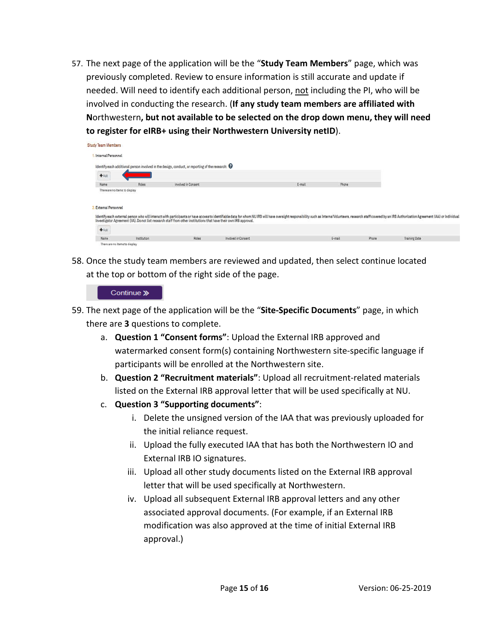57. The next page of the application will be the "**Study Team Members**" page, which was previously completed. Review to ensure information is still accurate and update if needed. Will need to identify each additional person, not including the PI, who will be involved in conducting the research. (**If any study team members are affiliated with N**orthwestern**, but not available to be selected on the drop down menu, they will need to register for eIRB+ using their Northwestern University netID**).

| tudy Team Members             |             |                                                                                                                    |                                                                                                                                                                                                                                |        |        |       |                      |  |
|-------------------------------|-------------|--------------------------------------------------------------------------------------------------------------------|--------------------------------------------------------------------------------------------------------------------------------------------------------------------------------------------------------------------------------|--------|--------|-------|----------------------|--|
| Internal Personnel            |             |                                                                                                                    |                                                                                                                                                                                                                                |        |        |       |                      |  |
|                               |             | Identify each additional person involved in the design, conduct, or reporting of the research: $\Theta$            |                                                                                                                                                                                                                                |        |        |       |                      |  |
| $+$ Add                       |             |                                                                                                                    |                                                                                                                                                                                                                                |        |        |       |                      |  |
| Name                          | Roles       | Involved in Consent                                                                                                |                                                                                                                                                                                                                                | E-mail | Phone  |       |                      |  |
| <b>External Personnel</b>     |             | Investigator Agreement (IIA). Do not list research staff from other institutions that have their own IRB approval. | Identify each external person who will interact with participants or have access to identifiable data for whom NU IRB will have oversight responsibility such as Interns/Volunteers, research staff covered by an IRB Authoriz |        |        |       |                      |  |
| $+$ Add                       |             |                                                                                                                    |                                                                                                                                                                                                                                |        |        |       |                      |  |
| Name                          | Institution | Roles:                                                                                                             | Involved in Consent                                                                                                                                                                                                            |        | E-mail | Phone | <b>Training Date</b> |  |
| There are no items to display |             |                                                                                                                    |                                                                                                                                                                                                                                |        |        |       |                      |  |

58. Once the study team members are reviewed and updated, then select continue located at the top or bottom of the right side of the page.

- 59. The next page of the application will be the "**Site-Specific Documents**" page, in which there are **3** questions to complete.
	- a. **Question 1 "Consent forms"**: Upload the External IRB approved and watermarked consent form(s) containing Northwestern site-specific language if participants will be enrolled at the Northwestern site.
	- b. **Question 2 "Recruitment materials"**: Upload all recruitment-related materials listed on the External IRB approval letter that will be used specifically at NU.
	- c. **Question 3 "Supporting documents"**:
		- i. Delete the unsigned version of the IAA that was previously uploaded for the initial reliance request.
		- ii. Upload the fully executed IAA that has both the Northwestern IO and External IRB IO signatures.
		- iii. Upload all other study documents listed on the External IRB approval letter that will be used specifically at Northwestern.
		- iv. Upload all subsequent External IRB approval letters and any other associated approval documents. (For example, if an External IRB modification was also approved at the time of initial External IRB approval.)